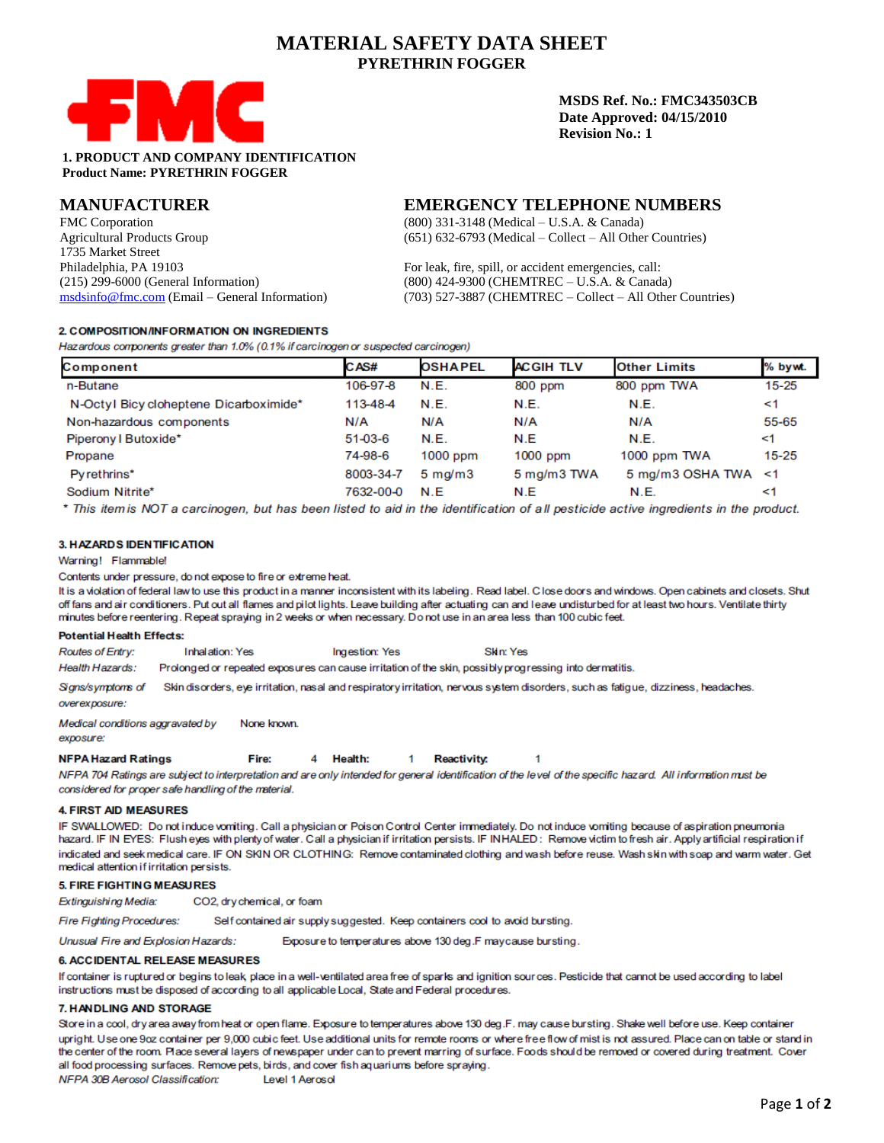# **MATERIAL SAFETY DATA SHEET PYRETHRIN FOGGER**



**MSDS Ref. No.: FMC343503CB Date Approved: 04/15/2010 Revision No.: 1**

## **1. PRODUCT AND COMPANY IDENTIFICATION Product Name: PYRETHRIN FOGGER**

## **MANUFACTURER**

FMC Corporation Agricultural Products Group 1735 Market Street Philadelphia, PA 19103 (215) 299-6000 (General Information) [msdsinfo@fmc.com](mailto:msdsinfo@fmc.com) (Email – General Information)

## **EMERGENCY TELEPHONE NUMBERS**

(800) 331-3148 (Medical – U.S.A. & Canada) (651) 632-6793 (Medical – Collect – All Other Countries)

For leak, fire, spill, or accident emergencies, call: (800) 424-9300 (CHEMTREC – U.S.A. & Canada) (703) 527-3887 (CHEMTREC – Collect – All Other Countries)

## 2. COMPOSITION/INFORMATION ON INGREDIENTS

Hazardous components greater than 1.0% (0.1% if carcinogen or suspected carcinogen)

| Component                              | CAS#      | <b>OSHAPEL</b>        | <b>ACGIH TLV</b> | <b>Other Limits</b> | % bywt.   |
|----------------------------------------|-----------|-----------------------|------------------|---------------------|-----------|
| n-Butane                               | 106-97-8  | N.E.                  | 800 ppm          | 800 ppm TWA         | $15 - 25$ |
| N-Octyl Bicy cloheptene Dicarboximide* | 113-48-4  | N.E.                  | N.E.             | N.E.                | <1        |
| Non-hazardous components               | N/A       | N/A                   | N/A              | N/A                 | 55-65     |
| Piperony I Butoxide*                   | 51-03-6   | <b>N.E.</b>           | N.E              | N.E.                | <1        |
| Propane                                | 74-98-6   | $1000$ ppm            | $1000$ ppm       | 1000 ppm TWA        | $15 - 25$ |
| Pyrethrins*                            | 8003-34-7 | $5 \text{ m}$ g/m $3$ | 5 mg/m3 TWA      | 5 mg/m3 OSHA TWA <1 |           |
| Sodium Nitrite*                        | 7632-00-0 | N.E                   | N.E              | N.E.                | <1        |

\* This item is NOT a carcinogen, but has been listed to aid in the identification of all pesticide active ingredients in the product.

## 3. HAZARDS IDENTIFICATION

Warning! Flammable!

Contents under pressure, do not expose to fire or extreme heat.

It is a violation of federal law to use this product in a manner inconsistent with its labeling. Read label. C lose doors and windows. Open cabinets and closets. Shut off fans and air conditioners. Put out all flames and pilot lights. Leave building after actuating can and leave undisturbed for at least two hours. Ventilate thirty minutes before reentering. Repeat spraying in 2 weeks or when necessary. Do not use in an area less than 100 cubic feet.

#### **Potential Health Effects:**

Routes of Entry: **Inhalation: Yes** Ingestion: Yes Skin: Yes

Health Hazards: Prolonged or repeated exposures can cause irritation of the skin, possibly progressing into dermatitis.

Signs/symptoms of Skin disorders, eye irritation, nasal and respiratory irritation, nervous system disorders, such as fatigue, dizziness, headaches.

overexposure:

Medical conditions aggravated by None known. exposure:

**NFPA Hazard Ratings** Fire: 4 Health:  $\mathbf{1}$ **Reactivity:** 

NFPA 704 Ratings are subject to interpretation and are only intended for general identification of the level of the specific hazard. All information must be considered for proper safe handling of the material.

## **4. FIRST AID MEASURES**

IF SWALLOWED: Do not induce vomiting. Call a physician or Poison Control Center immediately. Do not induce vomiting because of aspiration pneumonia hazard. IF IN EYES: Flush eyes with plenty of water. Call a physician if irritation persists. IF INHALED: Remove victim to fresh air. Apply artificial respiration if indicated and seek medical care. IF ON SKIN OR CLOTHING: Remove contaminated clothing and wash before reuse. Wash skin with soap and warm water. Get medical attention if irritation persists.

1

## **5. FIRE FIGHTING MEASURES**

Extinguishing Media: CO2, dry chemical, or foam

Fire Fighting Procedures: Self contained air supply suggested. Keep containers cool to avoid bursting.

Unusual Fire and Explosion Hazards: Exposure to temperatures above 130 deg.F maycause bursting.

**6. ACCIDENTAL RELEASE MEASURES** 

If container is ruptured or begins to leak, place in a well-ventilated area free of sparks and ignition sources. Pesticide that cannot be used according to label instructions must be disposed of according to all applicable Local, State and Federal procedures.

## 7. HANDLING AND STORAGE

Store in a cool, dry area away from heat or open flame. Exposure to temperatures above 130 deg.F. may cause bursting. Shake well before use. Keep container upright. Use one 9oz container per 9,000 cubic feet. Use additional units for remote rooms or where free flow of mist is not assured. Place can on table or stand in the center of the room. Place several layers of newspaper under can to prevent marring of surface. Foods should be removed or covered during treatment. Cover all food processing surfaces. Remove pets, birds, and cover fish aquariums before spraying.

NFPA 30B Aerosol Classification: Level 1 Aerosol